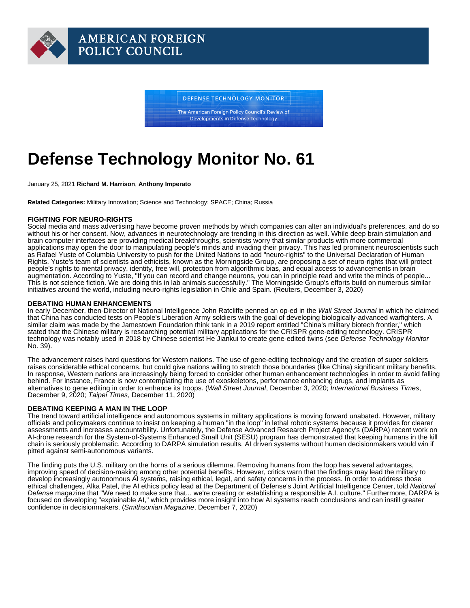# Defense Technology Monitor No. 61

January 25, 2021 Richard M. Harrison , Anthony Imperato

Related Categories: Military Innovation; Science and Technology; SPACE; China; Russia

## FIGHTING FOR NEURO-RIGHTS

Social media and mass advertising have become proven methods by which companies can alter an individual's preferences, and do so without his or her consent. Now, advances in neurotechnology are trending in this direction as well. While deep brain stimulation and brain computer interfaces are providing medical breakthroughs, scientists worry that similar products with more commercial applications may open the door to manipulating people's minds and invading their privacy. This has led prominent neuroscientists such as Rafael Yuste of Columbia University to push for the United Nations to add "neuro-rights" to the Universal Declaration of Human Rights. Yuste's team of scientists and ethicists, known as the Morningside Group, are proposing a set of neuro-rights that will protect people's rights to mental privacy, identity, free will, protection from algorithmic bias, and equal access to advancements in brain augmentation. According to Yuste, "If you can record and change neurons, you can in principle read and write the minds of people... This is not science fiction. We are doing this in lab animals successfully." The Morningside Group's efforts build on numerous similar initiatives around the world, including neuro-rights legislation in Chile and Spain. ([Reuters](https://www.reuters.com/article/us-global-tech-rights/this-is-not-science-fiction-say-scientists-pushing-for-neuro-rights-idUSKBN28D3HK), December 3, 2020)

#### DEBATING HUMAN ENHANCEMENTS

In early December, then-Director of National Intelligence John Ratcliffe penned an op-ed in the Wall Street Journal in which he claimed that China has conducted tests on People's Liberation Army soldiers with the goal of developing biologically-advanced warfighters. A similar claim was made by the Jamestown Foundation think tank in a 2019 report entitled "China's military biotech frontier," which stated that the Chinese military is researching potential military applications for the CRISPR gene-editing technology. CRISPR technology was notably used in 2018 by Chinese scientist He Jiankui to create gene-edited twins (see [Defense Technology Monitor](https://www.afpc.org/publications/bulletins/defense-technology-monitor/defense-technology-monitor-no.-39) No. 39).

The advancement raises hard questions for Western nations. The use of gene-editing technology and the creation of super soldiers raises considerable ethical concerns, but could give nations willing to stretch those boundaries (like China) significant military benefits. In response, Western nations are increasingly being forced to consider other human enhancement technologies in order to avoid falling behind. For instance, France is now contemplating the use of exoskeletons, performance enhancing drugs, and implants as alternatives to gene editing in order to enhance its troops. ([Wall Street Journal,](https://www.wsj.com/articles/china-is-national-security-threat-no-1-11607019599) December 3, 2020; [International Business Times](https://www.ibtimes.sg/france-following-chinas-footsteps-create-biologically-enhanced-super-soldiers-54056), December 9, 2020; [Taipei Times,](https://www.taipeitimes.com/News/editorials/archives/2020/12/11/2003748505) December 11, 2020)

### DEBATING KEEPING A MAN IN THE LOOP

The trend toward artificial intelligence and autonomous systems in military applications is moving forward unabated. However, military officials and policymakers continue to insist on keeping a human "in the loop" in lethal robotic systems because it provides for clearer assessments and increases accountability. Unfortunately, the Defense Advanced Research Project Agency's (DARPA) recent work on AI-drone research for the System-of-Systems Enhanced Small Unit (SESU) program has demonstrated that keeping humans in the kill chain is seriously problematic. According to DARPA simulation results, AI driven systems without human decisionmakers would win if pitted against semi-autonomous variants.

The finding puts the U.S. military on the horns of a serious dilemma. Removing humans from the loop has several advantages, improving speed of decision-making among other potential benefits. However, critics warn that the findings may lead the military to develop increasingly autonomous AI systems, raising ethical, legal, and safety concerns in the process. In order to address those ethical challenges, Alka Patel, the AI ethics policy lead at the Department of Defense's Joint Artificial Intelligence Center, told National Defense magazine that "We need to make sure that... we're creating or establishing a responsible A.I. culture." Furthermore, DARPA is focused on developing "explainable AI," which provides more insight into how AI systems reach conclusions and can instill greater confidence in decisionmakers. [\(Smithsonian Magazine](https://www.smithsonianmag.com/smart-news/human-interruption-slows-down-military-robots-simulations-180976472/), December 7, 2020)